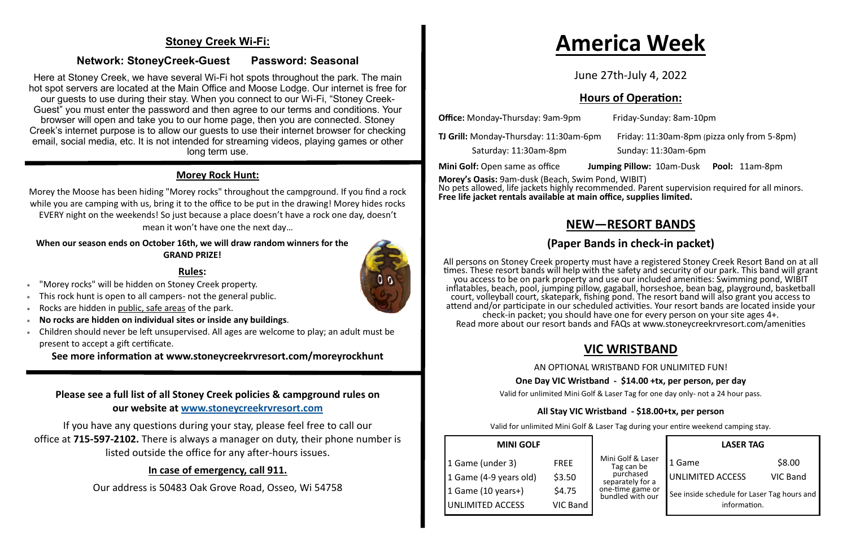### **Stoney Creek Wi-Fi:**

#### **Network: StoneyCreek-Guest Password: Seasonal**

Here at Stoney Creek, we have several Wi-Fi hot spots throughout the park. The main hot spot servers are located at the Main Office and Moose Lodge. Our internet is free for our guests to use during their stay. When you connect to our Wi-Fi, "Stoney Creek-Guest" you must enter the password and then agree to our terms and conditions. Your browser will open and take you to our home page, then you are connected. Stoney Creek's internet purpose is to allow our guests to use their internet browser for checking email, social media, etc. It is not intended for streaming videos, playing games or other long term use.

#### **Morey Rock Hunt:**

- "Morey rocks" will be hidden on Stoney Creek property.
- This rock hunt is open to all campers- not the general public.
- Rocks are hidden in public, safe areas of the park.
- **No rocks are hidden on individual sites or inside any buildings**.
- Children should never be left unsupervised. All ages are welcome to play; an adult must be present to accept a gift certificate.

Morey the Moose has been hiding "Morey rocks" throughout the campground. If you find a rock while you are camping with us, bring it to the office to be put in the drawing! Morey hides rocks EVERY night on the weekends! So just because a place doesn't have a rock one day, doesn't mean it won't have one the next day…

#### **When our season ends on October 16th, we will draw random winners for the GRAND PRIZE!**

#### **Rules:**

All persons on Stoney Creek property must have a registered Stoney Creek Resort Band on at all times. These resort bands will help with the safety and security of our park. This band will grant you access to be on park property and use our included amenities: Swimming pond, WIBIT inflatables, beach, pool, jumping pillow, gagaball, horseshoe, bean bag, playground, basketball court, volleyball court, skatepark, fishing pond. The resort band will also grant you access to attend and/or participate in our scheduled activities. Your resort bands are located inside your check-in packet; you should have one for every person on your site ages 4+. Read more about our resort bands and FAQs at www.stoneycreekrvresort.com/amenities

**See more information at www.stoneycreekrvresort.com/moreyrockhunt**

#### **Please see a full list of all Stoney Creek policies & campground rules on our website at [www.stoneycreekrvresort.com](http://www.stoneycreekrvresort.com)**

If you have any questions during your stay, please feel free to call our office at **715-597-2102.** There is always a manager on duty, their phone number is listed outside the office for any after-hours issues.

#### **In case of emergency, call 911.**

Our address is 50483 Oak Grove Road, Osseo, Wi 54758

# **America Week**

June 27th-July 4, 2022

### **Hours of Operation:**

| <b>Office:</b> Monday-Thursday: 9am-9pm | Fri            |
|-----------------------------------------|----------------|
| TJ Grill: Monday-Thursday: 11:30am-6pm  |                |
| Saturday: 11:30am-8pm                   | Sι             |
| Mini Golf: Open same as office          | <b>Jumping</b> |
|                                         |                |

**Office:** Monday**-**Thursday: 9am-9pm Friday-Sunday: 8am-10pm

**TJ Grill:** Monday**-**Thursday: 11:30am-6pm Friday: 11:30am-8pm (pizza only from 5-8pm)

unday: 11:30am-6pm

**Pillow: 10am-Dusk Pool: 11am-8pm** 

**Morey's Oasis:** 9am-dusk (Beach, Swim Pond, WIBIT) No pets allowed, life jackets highly recommended. Parent supervision required for all minors. **Free life jacket rentals available at main office, supplies limited.**

### **NEW—RESORT BANDS**

### **(Paper Bands in check-in packet)**

### **VIC WRISTBAND**

AN OPTIONAL WRISTBAND FOR UNLIMITED FUN!

#### **One Day VIC Wristband - \$14.00 +tx, per person, per day**

Valid for unlimited Mini Golf & Laser Tag for one day only- not a 24 hour pass.

#### **All Stay VIC Wristband - \$18.00+tx, per person**

Valid for unlimited Mini Golf & Laser Tag during your entire weekend camping stay.

| <b>MINI GOLF</b>        |             |
|-------------------------|-------------|
| 1 Game (under 3)        | <b>FREE</b> |
| 1 Game (4-9 years old)  | \$3.50      |
| 1 Game (10 years+)      | \$4.75      |
| <b>UNLIMITED ACCESS</b> | $VIC$ Band  |

|                                                                                                          | <b>LASER TAG</b>                                                                 |                           |
|----------------------------------------------------------------------------------------------------------|----------------------------------------------------------------------------------|---------------------------|
| Mini Golf & Laser<br>Tag can be<br>purchased<br>separately for a<br>one-time game or<br>bundled with our | 1 Game<br><b>UNLIMITED ACCESS</b><br>See inside schedule for Laser Tag hours and | \$8.00<br><b>VIC Band</b> |
|                                                                                                          | information.                                                                     |                           |